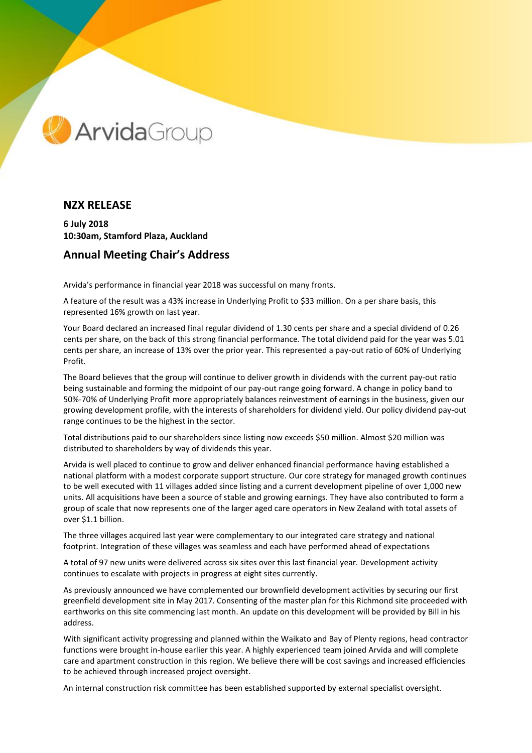

## **NZX RELEASE**

**6 July 2018 10:30am, Stamford Plaza, Auckland**

## **Annual Meeting Chair's Address**

Arvida's performance in financial year 2018 was successful on many fronts.

A feature of the result was a 43% increase in Underlying Profit to \$33 million. On a per share basis, this represented 16% growth on last year.

Your Board declared an increased final regular dividend of 1.30 cents per share and a special dividend of 0.26 cents per share, on the back of this strong financial performance. The total dividend paid for the year was 5.01 cents per share, an increase of 13% over the prior year. This represented a pay-out ratio of 60% of Underlying Profit.

The Board believes that the group will continue to deliver growth in dividends with the current pay-out ratio being sustainable and forming the midpoint of our pay-out range going forward. A change in policy band to 50%-70% of Underlying Profit more appropriately balances reinvestment of earnings in the business, given our growing development profile, with the interests of shareholders for dividend yield. Our policy dividend pay-out range continues to be the highest in the sector.

Total distributions paid to our shareholders since listing now exceeds \$50 million. Almost \$20 million was distributed to shareholders by way of dividends this year.

Arvida is well placed to continue to grow and deliver enhanced financial performance having established a national platform with a modest corporate support structure. Our core strategy for managed growth continues to be well executed with 11 villages added since listing and a current development pipeline of over 1,000 new units. All acquisitions have been a source of stable and growing earnings. They have also contributed to form a group of scale that now represents one of the larger aged care operators in New Zealand with total assets of over \$1.1 billion.

The three villages acquired last year were complementary to our integrated care strategy and national footprint. Integration of these villages was seamless and each have performed ahead of expectations

A total of 97 new units were delivered across six sites over this last financial year. Development activity continues to escalate with projects in progress at eight sites currently.

As previously announced we have complemented our brownfield development activities by securing our first greenfield development site in May 2017. Consenting of the master plan for this Richmond site proceeded with earthworks on this site commencing last month. An update on this development will be provided by Bill in his address.

With significant activity progressing and planned within the Waikato and Bay of Plenty regions, head contractor functions were brought in-house earlier this year. A highly experienced team joined Arvida and will complete care and apartment construction in this region. We believe there will be cost savings and increased efficiencies to be achieved through increased project oversight.

An internal construction risk committee has been established supported by external specialist oversight.